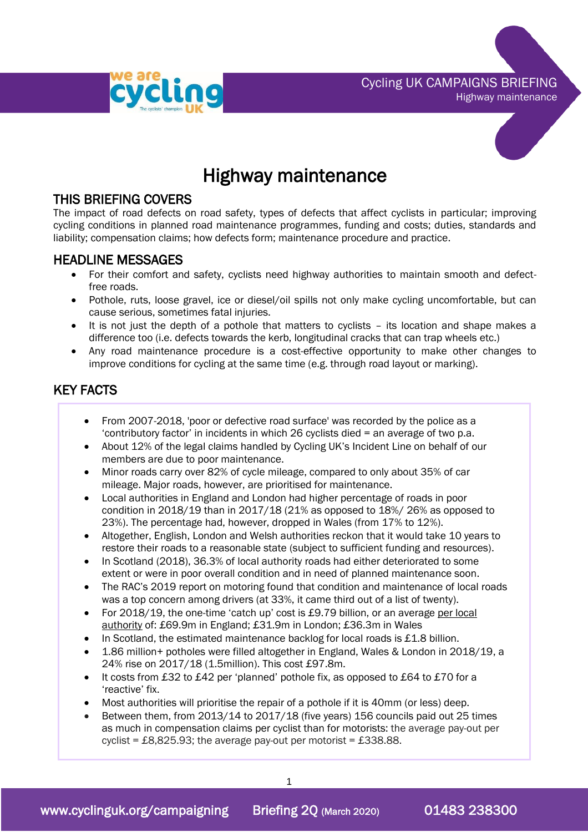

Cycling UK CAMPAIGNS BRIEFING Highway maintenance



# Highway maintenance

## THIS BRIEFING COVERS

The impact of road defects on road safety, types of defects that affect cyclists in particular; improving cycling conditions in planned road maintenance programmes, funding and costs; duties, standards and liability; compensation claims; how defects form; maintenance procedure and practice.

### HEADLINE MESSAGES

- For their comfort and safety, cyclists need highway authorities to maintain smooth and defectfree roads.
- Pothole, ruts, loose gravel, ice or diesel/oil spills not only make cycling uncomfortable, but can cause serious, sometimes fatal injuries.
- It is not just the depth of a pothole that matters to cyclists its location and shape makes a difference too (i.e. defects towards the kerb, longitudinal cracks that can trap wheels etc.)
- Any road maintenance procedure is a cost-effective opportunity to make other changes to improve conditions for cycling at the same time (e.g. through road layout or marking).

# KEY FACTS

- From 2007-2018, 'poor or defective road surface' was recorded by the police as a 'contributory factor' in incidents in which 26 cyclists died = an average of two p.a.
- About 12% of the legal claims handled by Cycling UK's Incident Line on behalf of our members are due to poor maintenance.
- Minor roads carry over 82% of cycle mileage, compared to only about 35% of car mileage. Major roads, however, are prioritised for maintenance.
- Local authorities in England and London had higher percentage of roads in poor condition in 2018/19 than in 2017/18 (21% as opposed to 18%/ 26% as opposed to 23%). The percentage had, however, dropped in Wales (from 17% to 12%).
- Altogether, English, London and Welsh authorities reckon that it would take 10 years to restore their roads to a reasonable state (subject to sufficient funding and resources).
- In Scotland (2018), 36.3% of local authority roads had either deteriorated to some extent or were in poor overall condition and in need of planned maintenance soon.
- The RAC's 2019 report on motoring found that condition and maintenance of local roads was a top concern among drivers (at 33%, it came third out of a list of twenty).
- For 2018/19, the one-time 'catch up' cost is £9.79 billion, or an average per local authority of: £69.9m in England; £31.9m in London; £36.3m in Wales
- In Scotland, the estimated maintenance backlog for local roads is  $£1.8$  billion.
- 1.86 million+ potholes were filled altogether in England, Wales & London in 2018/19, a 24% rise on 2017/18 (1.5million). This cost £97.8m.
- It costs from £32 to £42 per 'planned' pothole fix, as opposed to £64 to £70 for a 'reactive' fix.
- Most authorities will prioritise the repair of a pothole if it is 40mm (or less) deep.
- Between them, from 2013/14 to 2017/18 (five years) 156 councils paid out 25 times as much in compensation claims per cyclist than for motorists: the average pay-out per cyclist = £8,825.93; the average pay-out per motorist = £338.88.

1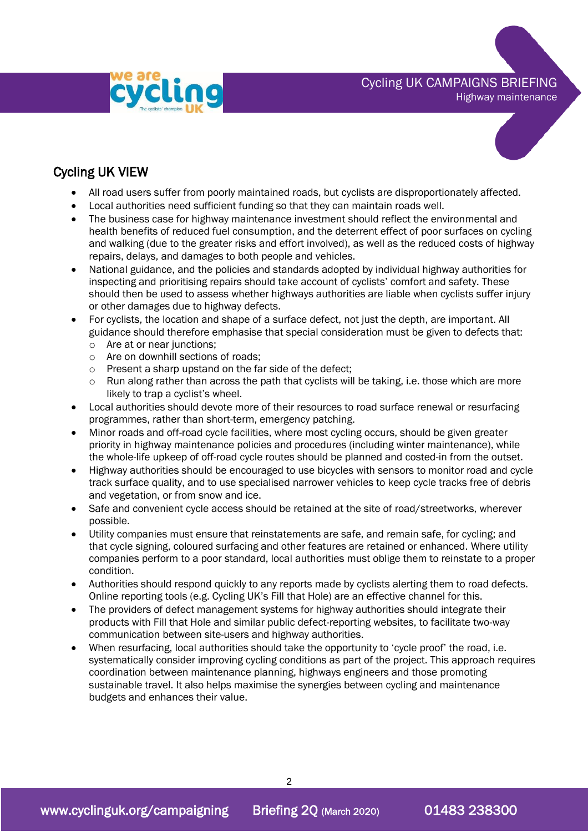

# Cycling UK CAMPAIGNS BRIEFING

Highway maintenance



# Cycling UK VIEW

- All road users suffer from poorly maintained roads, but cyclists are disproportionately affected.
- Local authorities need sufficient funding so that they can maintain roads well.
- The business case for highway maintenance investment should reflect the environmental and health benefits of reduced fuel consumption, and the deterrent effect of poor surfaces on cycling and walking (due to the greater risks and effort involved), as well as the reduced costs of highway repairs, delays, and damages to both people and vehicles.
- National guidance, and the policies and standards adopted by individual highway authorities for inspecting and prioritising repairs should take account of cyclists' comfort and safety. These should then be used to assess whether highways authorities are liable when cyclists suffer injury or other damages due to highway defects.
- For cyclists, the location and shape of a surface defect, not just the depth, are important. All guidance should therefore emphasise that special consideration must be given to defects that:
	- o Are at or near junctions;
	- o Are on downhill sections of roads;
	- o Present a sharp upstand on the far side of the defect;
	- o Run along rather than across the path that cyclists will be taking, i.e. those which are more likely to trap a cyclist's wheel.
- Local authorities should devote more of their resources to road surface renewal or resurfacing programmes, rather than short-term, emergency patching.
- Minor roads and off-road cycle facilities, where most cycling occurs, should be given greater priority in highway maintenance policies and procedures (including winter maintenance), while the whole-life upkeep of off-road cycle routes should be planned and costed-in from the outset.
- Highway authorities should be encouraged to use bicycles with sensors to monitor road and cycle track surface quality, and to use specialised narrower vehicles to keep cycle tracks free of debris and vegetation, or from snow and ice.
- Safe and convenient cycle access should be retained at the site of road/streetworks, wherever possible.
- Utility companies must ensure that reinstatements are safe, and remain safe, for cycling; and that cycle signing, coloured surfacing and other features are retained or enhanced. Where utility companies perform to a poor standard, local authorities must oblige them to reinstate to a proper condition.
- Authorities should respond quickly to any reports made by cyclists alerting them to road defects. Online reporting tools (e.g. Cycling UK's Fill that Hole) are an effective channel for this.
- The providers of defect management systems for highway authorities should integrate their products with Fill that Hole and similar public defect-reporting websites, to facilitate two-way communication between site-users and highway authorities.
- When resurfacing, local authorities should take the opportunity to 'cycle proof' the road, i.e. systematically consider improving cycling conditions as part of the project. This approach requires coordination between maintenance planning, highways engineers and those promoting sustainable travel. It also helps maximise the synergies between cycling and maintenance budgets and enhances their value.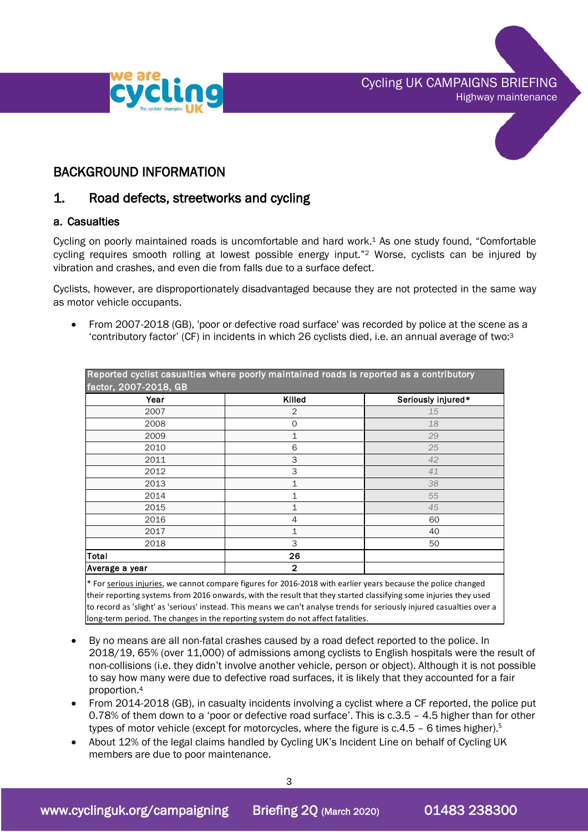Cycling UK CAMPAIGNS BRIEFING Highway maintenance





### BACKGROUND INFORMATION

### 1. Road defects, streetworks and cycling

#### a. Casualties

Cycling on poorly maintained roads is uncomfortable and hard work. <sup>1</sup> As one study found, "Comfortable cycling requires smooth rolling at lowest possible energy input."<sup>2</sup> Worse, cyclists can be injured by vibration and crashes, and even die from falls due to a surface defect.

Cyclists, however, are disproportionately disadvantaged because they are not protected in the same way as motor vehicle occupants.

• From 2007-2018 (GB), 'poor or defective road surface' was recorded by police at the scene as a 'contributory factor' (CF) in incidents in which 26 cyclists died, i.e. an annual average of two: 3

| Year           | Killed       | Seriously injured* |
|----------------|--------------|--------------------|
| 2007           | 2            | 15                 |
| 2008           | 0            | 18                 |
| 2009           | 1            | 29                 |
| 2010           | 6            | 25                 |
| 2011           | 3            | 42                 |
| 2012           | 3            | 41                 |
| 2013           | 1            | 38                 |
| 2014           | 1            | 55                 |
| 2015           | 1            | 45                 |
| 2016           | 4            | 60                 |
| 2017           | 1            | 40                 |
| 2018           | 3            | 50                 |
| <b>Total</b>   | 26           |                    |
| Average a year | $\mathbf{2}$ |                    |

\* For serious injuries, we cannot compare figures for 2016-2018 with earlier years because the police changed their reporting systems from 2016 onwards, with the result that they started classifying some injuries they used to record as 'slight' as 'serious' instead. This means we can't analyse trends for seriously injured casualties over a long-term period. The changes in the reporting system do not affect fatalities.

- By no means are all non-fatal crashes caused by a road defect reported to the police. In 2018/19, 65% (over 11,000) of admissions among cyclists to English hospitals were the result of non-collisions (i.e. they didn't involve another vehicle, person or object). Although it is not possible to say how many were due to defective road surfaces, it is likely that they accounted for a fair proportion. 4
- From 2014-2018 (GB), in casualty incidents involving a cyclist where a CF reported, the police put 0.78% of them down to a 'poor or defective road surface'. This is c.3.5 – 4.5 higher than for other types of motor vehicle (except for motorcycles, where the figure is  $c.4.5 - 6$  times higher).<sup>5</sup>
- About 12% of the legal claims handled by Cycling UK's Incident Line on behalf of Cycling UK members are due to poor maintenance.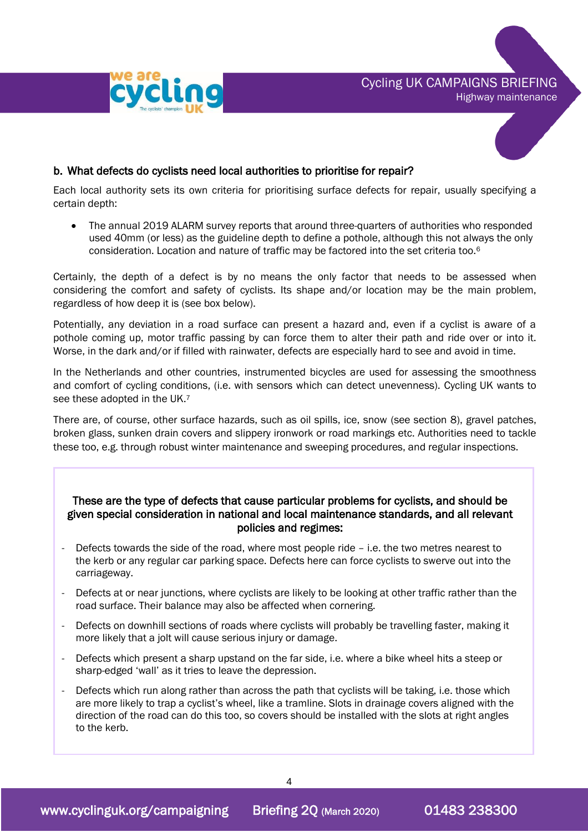



#### b. What defects do cyclists need local authorities to prioritise for repair?

Each local authority sets its own criteria for prioritising surface defects for repair, usually specifying a certain depth:

• The annual 2019 ALARM survey reports that around three-quarters of authorities who responded used 40mm (or less) as the guideline depth to define a pothole, although this not always the only consideration. Location and nature of traffic may be factored into the set criteria too.<sup>6</sup>

Certainly, the depth of a defect is by no means the only factor that needs to be assessed when considering the comfort and safety of cyclists. Its shape and/or location may be the main problem, regardless of how deep it is (see box below).

Potentially, any deviation in a road surface can present a hazard and, even if a cyclist is aware of a pothole coming up, motor traffic passing by can force them to alter their path and ride over or into it. Worse, in the dark and/or if filled with rainwater, defects are especially hard to see and avoid in time.

In the Netherlands and other countries, instrumented bicycles are used for assessing the smoothness and comfort of cycling conditions, (i.e. with sensors which can detect unevenness). Cycling UK wants to see these adopted in the UK.<sup>7</sup>

There are, of course, other surface hazards, such as oil spills, ice, snow (see section 8), gravel patches, broken glass, sunken drain covers and slippery ironwork or road markings etc. Authorities need to tackle these too, e.g. through robust winter maintenance and sweeping procedures, and regular inspections.

#### These are the type of defects that cause particular problems for cyclists, and should be given special consideration in national and local maintenance standards, and all relevant policies and regimes:

- Defects towards the side of the road, where most people ride i.e. the two metres nearest to the kerb or any regular car parking space. Defects here can force cyclists to swerve out into the carriageway.
- Defects at or near junctions, where cyclists are likely to be looking at other traffic rather than the road surface. Their balance may also be affected when cornering.
- Defects on downhill sections of roads where cyclists will probably be travelling faster, making it more likely that a jolt will cause serious injury or damage.
- Defects which present a sharp upstand on the far side, i.e. where a bike wheel hits a steep or sharp-edged 'wall' as it tries to leave the depression.
- Defects which run along rather than across the path that cyclists will be taking, i.e. those which are more likely to trap a cyclist's wheel, like a tramline. Slots in drainage covers aligned with the direction of the road can do this too, so covers should be installed with the slots at right angles to the kerb.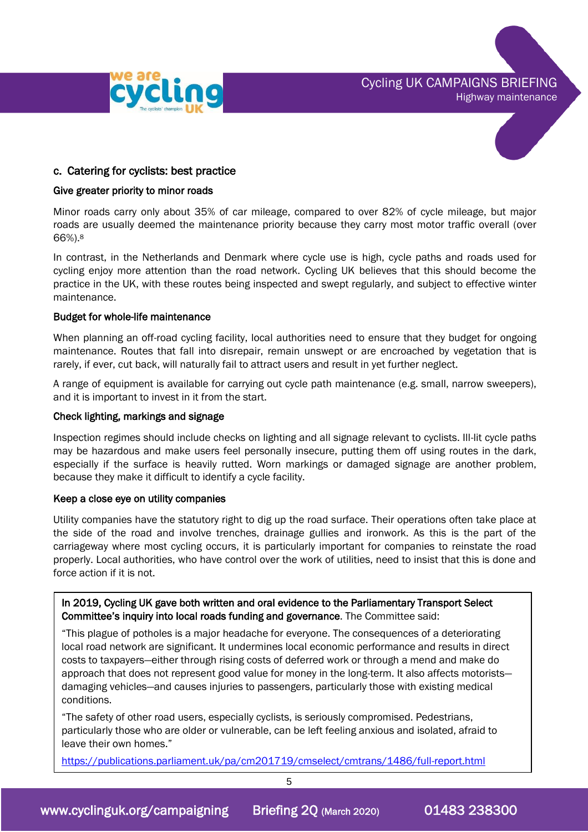

Cycling UK CAMPAIGNS BRIEFING Highway maintenance



#### c. Catering for cyclists: best practice

#### Give greater priority to minor roads

Minor roads carry only about 35% of car mileage, compared to over 82% of cycle mileage, but major roads are usually deemed the maintenance priority because they carry most motor traffic overall (over 66%).<sup>8</sup>

In contrast, in the Netherlands and Denmark where cycle use is high, cycle paths and roads used for cycling enjoy more attention than the road network. Cycling UK believes that this should become the practice in the UK, with these routes being inspected and swept regularly, and subject to effective winter maintenance.

#### Budget for whole-life maintenance

When planning an off-road cycling facility, local authorities need to ensure that they budget for ongoing maintenance. Routes that fall into disrepair, remain unswept or are encroached by vegetation that is rarely, if ever, cut back, will naturally fail to attract users and result in yet further neglect.

A range of equipment is available for carrying out cycle path maintenance (e.g. small, narrow sweepers), and it is important to invest in it from the start.

#### Check lighting, markings and signage

Inspection regimes should include checks on lighting and all signage relevant to cyclists. Ill-lit cycle paths may be hazardous and make users feel personally insecure, putting them off using routes in the dark, especially if the surface is heavily rutted. Worn markings or damaged signage are another problem, because they make it difficult to identify a cycle facility.

#### Keep a close eye on utility companies

Utility companies have the statutory right to dig up the road surface. Their operations often take place at the side of the road and involve trenches, drainage gullies and ironwork. As this is the part of the carriageway where most cycling occurs, it is particularly important for companies to reinstate the road properly. Local authorities, who have control over the work of utilities, need to insist that this is done and force action if it is not.

In 2019, Cycling UK gave both written and oral evidence to the Parliamentary Transport Select Committee's inquiry into local roads funding and governance. The Committee said:

"This plague of potholes is a major headache for everyone. The consequences of a deteriorating local road network are significant. It undermines local economic performance and results in direct costs to taxpayers—either through rising costs of deferred work or through a mend and make do approach that does not represent good value for money in the long-term. It also affects motorists damaging vehicles—and causes injuries to passengers, particularly those with existing medical conditions.

"The safety of other road users, especially cyclists, is seriously compromised. Pedestrians, particularly those who are older or vulnerable, can be left feeling anxious and isolated, afraid to leave their own homes."

<https://publications.parliament.uk/pa/cm201719/cmselect/cmtrans/1486/full-report.html>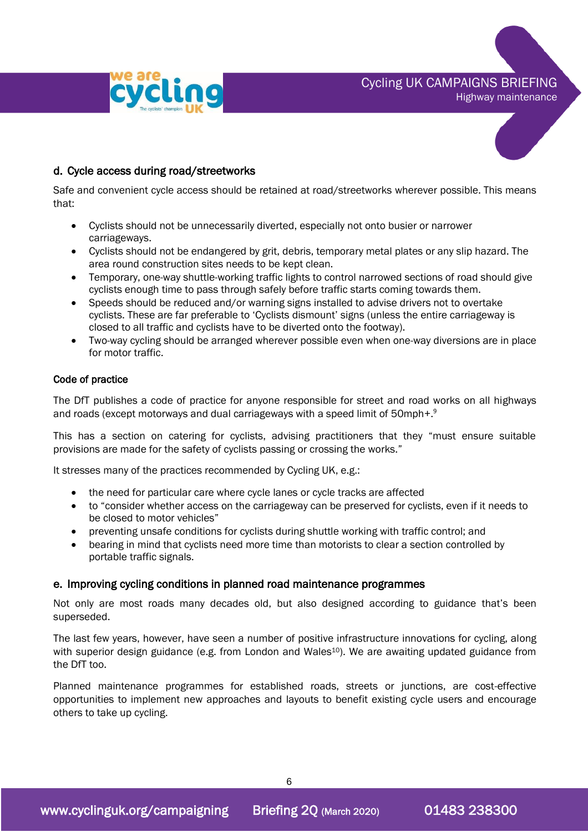

Highway maintenance



#### d. Cycle access during road/streetworks

Safe and convenient cycle access should be retained at road/streetworks wherever possible. This means that:

- Cyclists should not be unnecessarily diverted, especially not onto busier or narrower carriageways.
- Cyclists should not be endangered by grit, debris, temporary metal plates or any slip hazard. The area round construction sites needs to be kept clean.
- Temporary, one-way shuttle-working traffic lights to control narrowed sections of road should give cyclists enough time to pass through safely before traffic starts coming towards them.
- Speeds should be reduced and/or warning signs installed to advise drivers not to overtake cyclists. These are far preferable to 'Cyclists dismount' signs (unless the entire carriageway is closed to all traffic and cyclists have to be diverted onto the footway).
- Two-way cycling should be arranged wherever possible even when one-way diversions are in place for motor traffic.

#### Code of practice

The DfT publishes a code of practice for anyone responsible for street and road works on all highways and roads (except motorways and dual carriageways with a speed limit of 50mph+.<sup>9</sup>

This has a section on catering for cyclists, advising practitioners that they "must ensure suitable provisions are made for the safety of cyclists passing or crossing the works."

It stresses many of the practices recommended by Cycling UK, e.g.:

- the need for particular care where cycle lanes or cycle tracks are affected
- to "consider whether access on the carriageway can be preserved for cyclists, even if it needs to be closed to motor vehicles"
- preventing unsafe conditions for cyclists during shuttle working with traffic control; and
- bearing in mind that cyclists need more time than motorists to clear a section controlled by portable traffic signals.

#### e. Improving cycling conditions in planned road maintenance programmes

Not only are most roads many decades old, but also designed according to guidance that's been superseded.

The last few years, however, have seen a number of positive infrastructure innovations for cycling, along with superior design guidance (e.g. from London and Wales<sup>10</sup>). We are awaiting updated guidance from the DfT too.

Planned maintenance programmes for established roads, streets or junctions, are cost-effective opportunities to implement new approaches and layouts to benefit existing cycle users and encourage others to take up cycling.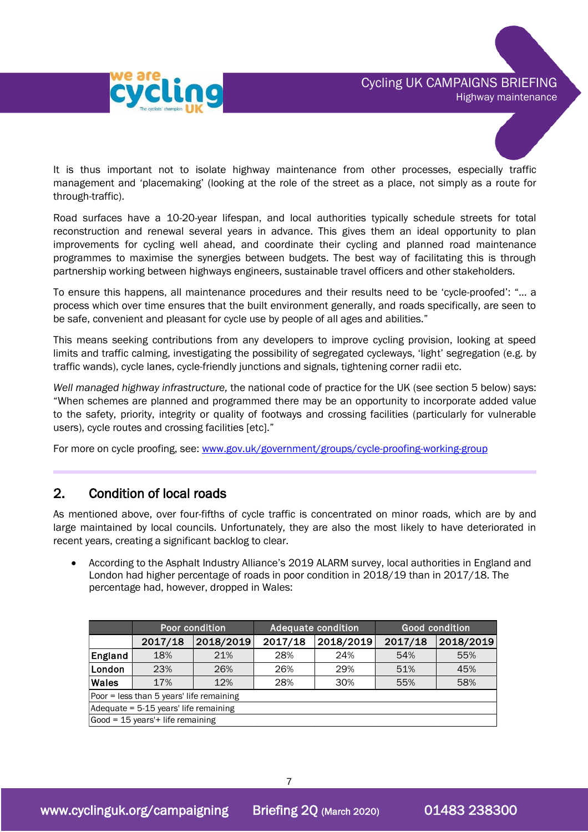

It is thus important not to isolate highway maintenance from other processes, especially traffic management and 'placemaking' (looking at the role of the street as a place, not simply as a route for through-traffic).

Road surfaces have a 10-20-year lifespan, and local authorities typically schedule streets for total reconstruction and renewal several years in advance. This gives them an ideal opportunity to plan improvements for cycling well ahead, and coordinate their cycling and planned road maintenance programmes to maximise the synergies between budgets. The best way of facilitating this is through partnership working between highways engineers, sustainable travel officers and other stakeholders.

To ensure this happens, all maintenance procedures and their results need to be 'cycle-proofed': "… a process which over time ensures that the built environment generally, and roads specifically, are seen to be safe, convenient and pleasant for cycle use by people of all ages and abilities."

This means seeking contributions from any developers to improve cycling provision, looking at speed limits and traffic calming, investigating the possibility of segregated cycleways, 'light' segregation (e.g. by traffic wands), cycle lanes, cycle-friendly junctions and signals, tightening corner radii etc.

*Well managed highway infrastructure,* the national code of practice for the UK (see section 5 below) says: "When schemes are planned and programmed there may be an opportunity to incorporate added value to the safety, priority, integrity or quality of footways and crossing facilities (particularly for vulnerable users), cycle routes and crossing facilities [etc]."

For more on cycle proofing, see: [www.gov.uk/government/groups/cycle-proofing-working-group](http://www.gov.uk/government/groups/cycle-proofing-working-group)

# 2. Condition of local roads

As mentioned above, over four-fifths of cycle traffic is concentrated on minor roads, which are by and large maintained by local councils. Unfortunately, they are also the most likely to have deteriorated in recent years, creating a significant backlog to clear.

• According to the Asphalt Industry Alliance's 2019 ALARM survey, local authorities in England and London had higher percentage of roads in poor condition in 2018/19 than in 2017/18. The percentage had, however, dropped in Wales:

|                                          | Poor condition |           | <b>Adequate condition</b> |           | <b>Good condition</b> |           |
|------------------------------------------|----------------|-----------|---------------------------|-----------|-----------------------|-----------|
|                                          | 2017/18        | 2018/2019 | 2017/18                   | 2018/2019 | 2017/18               | 2018/2019 |
| England                                  | 18%            | 21%       | 28%                       | 24%       | 54%                   | 55%       |
| London                                   | 23%            | 26%       | 26%                       | 29%       | 51%                   | 45%       |
| <b>Wales</b>                             | 17%            | 12%       | 28%                       | 30%       | 55%                   | 58%       |
| Poor = less than 5 years' life remaining |                |           |                           |           |                       |           |
| Adequate = 5-15 years' life remaining    |                |           |                           |           |                       |           |
| $Good = 15 years' + life remaining$      |                |           |                           |           |                       |           |

7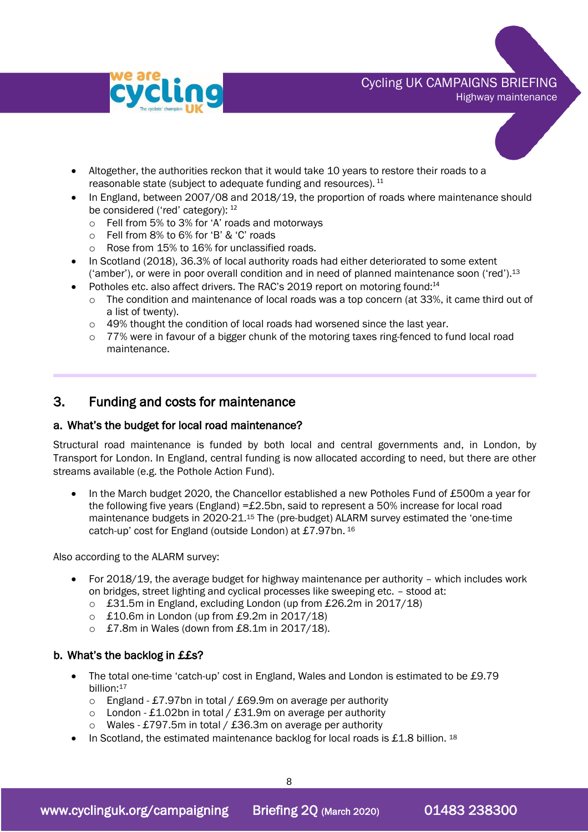

Highway maintenance

- Altogether, the authorities reckon that it would take 10 years to restore their roads to a reasonable state (subject to adequate funding and resources).  $^{\rm 11}$
- In England, between 2007/08 and 2018/19, the proportion of roads where maintenance should be considered ('red' category): <sup>12</sup>
	- o Fell from 5% to 3% for 'A' roads and motorways
	- o Fell from 8% to 6% for 'B' & 'C' roads
	- o Rose from 15% to 16% for unclassified roads.
- In Scotland (2018), 36.3% of local authority roads had either deteriorated to some extent ('amber'), or were in poor overall condition and in need of planned maintenance soon ('red'). 13
- Potholes etc. also affect drivers. The RAC's 2019 report on motoring found:<sup>14</sup>
	- $\circ$  The condition and maintenance of local roads was a top concern (at 33%, it came third out of a list of twenty).
	- $\circ$  49% thought the condition of local roads had worsened since the last year.
	- $\circ$  77% were in favour of a bigger chunk of the motoring taxes ring-fenced to fund local road maintenance.

## 3. Funding and costs for maintenance

#### a. What's the budget for local road maintenance?

Structural road maintenance is funded by both local and central governments and, in London, by Transport for London. In England, central funding is now allocated according to need, but there are other streams available (e.g. the Pothole Action Fund).

• In the March budget 2020, the Chancellor established a new Potholes Fund of £500m a year for the following five years (England) =£2.5bn, said to represent a 50% increase for local road maintenance budgets in 2020-21. <sup>15</sup> The (pre-budget) ALARM survey estimated the 'one-time catch-up' cost for England (outside London) at £7.97bn. <sup>16</sup>

Also according to the ALARM survey:

- For 2018/19, the average budget for highway maintenance per authority which includes work on bridges, street lighting and cyclical processes like sweeping etc. – stood at:
	- o £31.5m in England, excluding London (up from £26.2m in 2017/18)
	- o £10.6m in London (up from £9.2m in 2017/18)
	- o £7.8m in Wales (down from £8.1m in 2017/18).

#### b. What's the backlog in ££s?

- The total one-time 'catch-up' cost in England, Wales and London is estimated to be £9.79 billion: 17
	- o England £7.97bn in total / £69.9m on average per authority
	- $\circ$  London £1.02bn in total / £31.9m on average per authority
	- o Wales £797.5m in total / £36.3m on average per authority
- In Scotland, the estimated maintenance backlog for local roads is £1.8 billion.  $^{18}$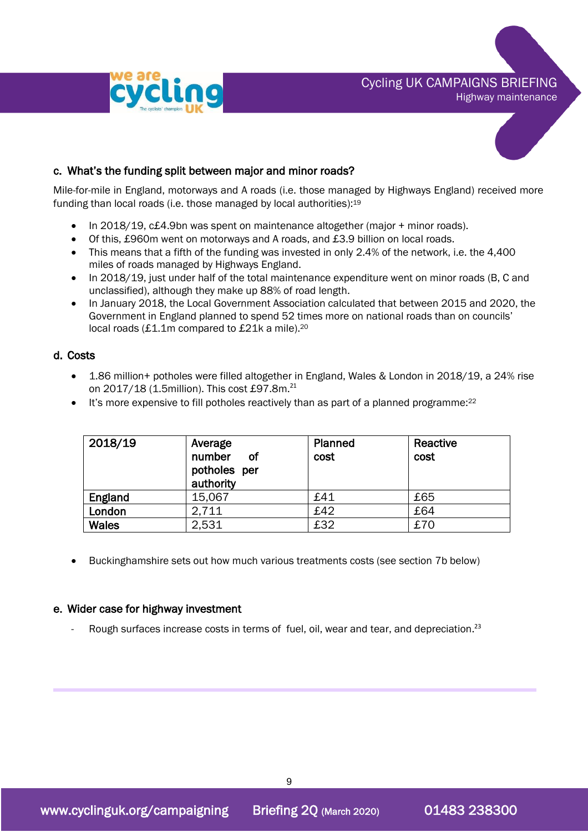

# Cycling UK CAMPAIGNS BRIEFING

Highway maintenance



#### c. What's the funding split between major and minor roads?

Mile-for-mile in England, motorways and A roads (i.e. those managed by Highways England) received more funding than local roads (i.e. those managed by local authorities):<sup>19</sup>

- In 2018/19, c£4.9bn was spent on maintenance altogether (major + minor roads).
- Of this, £960m went on motorways and A roads, and £3.9 billion on local roads.
- This means that a fifth of the funding was invested in only 2.4% of the network, i.e. the 4,400 miles of roads managed by Highways England.
- In 2018/19, just under half of the total maintenance expenditure went on minor roads (B, C and unclassified), although they make up 88% of road length.
- In January 2018, the Local Government Association calculated that between 2015 and 2020, the Government in England planned to spend 52 times more on national roads than on councils' local roads (£1.1m compared to £21k a mile).<sup>20</sup>

#### d. Costs

- 1.86 million+ potholes were filled altogether in England, Wales & London in 2018/19, a 24% rise on 2017/18 (1.5million). This cost £97.8m.<sup>21</sup>
- $\bullet$  It's more expensive to fill potholes reactively than as part of a planned programme: $^{22}$

| 2018/19      | Average<br>number<br>Οf<br>potholes per<br>authority | Planned<br>cost | Reactive<br>cost |
|--------------|------------------------------------------------------|-----------------|------------------|
| England      | 15,067                                               | £41             | £65              |
| London       | 2.711                                                | £42             | £64              |
| <b>Wales</b> | 2,531                                                | £32             | £70              |

• Buckinghamshire sets out how much various treatments costs (see section 7b below)

#### e. Wider case for highway investment

- Rough surfaces increase costs in terms of fuel, oil, wear and tear, and depreciation.<sup>23</sup>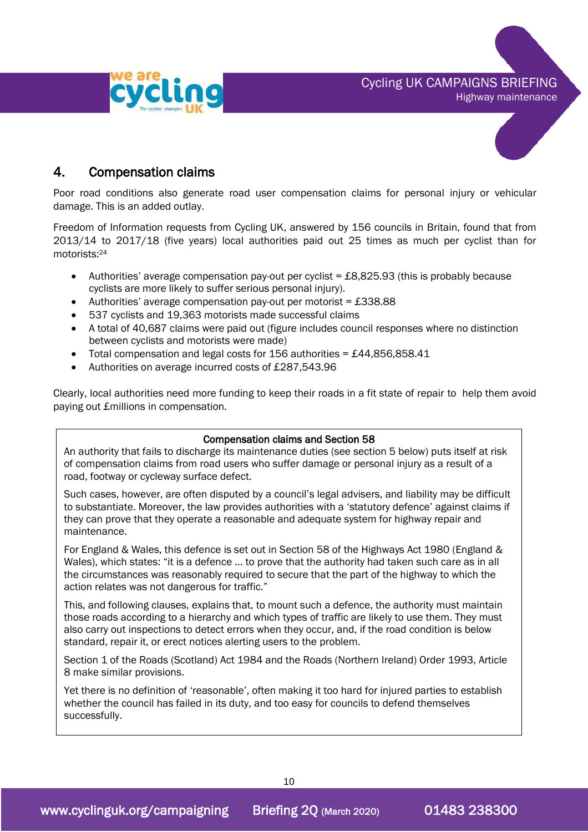



# 4. Compensation claims

Poor road conditions also generate road user compensation claims for personal injury or vehicular damage. This is an added outlay.

Freedom of Information requests from Cycling UK, answered by 156 councils in Britain, found that from 2013/14 to 2017/18 (five years) local authorities paid out 25 times as much per cyclist than for motorists: 24

- Authorities' average compensation pay-out per cyclist = £8,825.93 (this is probably because cyclists are more likely to suffer serious personal injury).
- Authorities' average compensation pay-out per motorist = £338.88
- 537 cyclists and 19,363 motorists made successful claims
- A total of 40,687 claims were paid out (figure includes council responses where no distinction between cyclists and motorists were made)
- Total compensation and legal costs for 156 authorities = £44,856,858.41
- Authorities on average incurred costs of £287,543.96

Clearly, local authorities need more funding to keep their roads in a fit state of repair to help them avoid paying out £millions in compensation.

#### Compensation claims and Section 58

An authority that fails to discharge its maintenance duties (see section 5 below) puts itself at risk of compensation claims from road users who suffer damage or personal injury as a result of a road, footway or cycleway surface defect.

Such cases, however, are often disputed by a council's legal advisers, and liability may be difficult to substantiate. Moreover, the law provides authorities with a 'statutory defence' against claims if they can prove that they operate a reasonable and adequate system for highway repair and maintenance.

For England & Wales, this defence is set out in Section 58 of the Highways Act 1980 (England & Wales), which states: "it is a defence … to prove that the authority had taken such care as in all the circumstances was reasonably required to secure that the part of the highway to which the action relates was not dangerous for traffic."

This, and following clauses, explains that, to mount such a defence, the authority must maintain those roads according to a hierarchy and which types of traffic are likely to use them. They must also carry out inspections to detect errors when they occur, and, if the road condition is below standard, repair it, or erect notices alerting users to the problem.

Section 1 of the Roads (Scotland) Act 1984 and the Roads (Northern Ireland) Order 1993, Article 8 make similar provisions.

Yet there is no definition of 'reasonable', often making it too hard for injured parties to establish whether the council has failed in its duty, and too easy for councils to defend themselves successfully.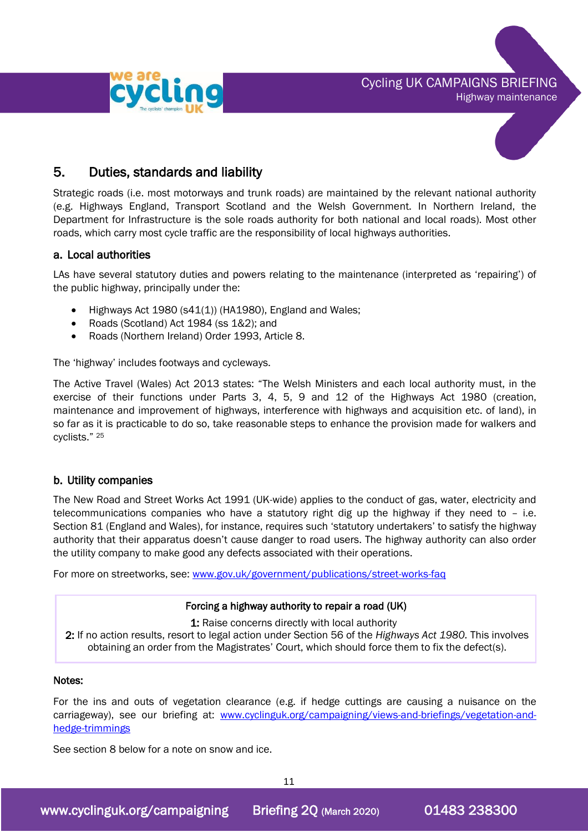



# 5. Duties, standards and liability

Strategic roads (i.e. most motorways and trunk roads) are maintained by the relevant national authority (e.g. Highways England, Transport Scotland and the Welsh Government. In Northern Ireland, the Department for Infrastructure is the sole roads authority for both national and local roads). Most other roads, which carry most cycle traffic are the responsibility of local highways authorities.

#### a. Local authorities

LAs have several statutory duties and powers relating to the maintenance (interpreted as 'repairing') of the public highway, principally under the:

- Highways Act 1980 (s41(1)) (HA1980), England and Wales;
- Roads (Scotland) Act 1984 (ss 1&2); and
- Roads (Northern Ireland) Order 1993, Article 8.

The 'highway' includes footways and cycleways.

The Active Travel (Wales) Act 2013 states: "The Welsh Ministers and each local authority must, in the exercise of their functions under Parts 3, 4, 5, 9 and 12 of the Highways Act 1980 (creation, maintenance and improvement of highways, interference with highways and acquisition etc. of land), in so far as it is practicable to do so, take reasonable steps to enhance the provision made for walkers and cyclists." <sup>25</sup>

#### b. Utility companies

The New Road and Street Works Act 1991 (UK-wide) applies to the conduct of gas, water, electricity and telecommunications companies who have a statutory right dig up the highway if they need to – i.e. Section 81 (England and Wales), for instance, requires such 'statutory undertakers' to satisfy the highway authority that their apparatus doesn't cause danger to road users. The highway authority can also order the utility company to make good any defects associated with their operations.

For more on streetworks, see: [www.gov.uk/government/publications/street-works-faq](http://www.gov.uk/government/publications/street-works-faq)

#### Forcing a highway authority to repair a road (UK)

1: Raise concerns directly with local authority

2: If no action results, resort to legal action under Section 56 of the *Highways Act 1980.* This involves obtaining an order from the Magistrates' Court, which should force them to fix the defect(s).

#### Notes:

For the ins and outs of vegetation clearance (e.g. if hedge cuttings are causing a nuisance on the carriageway), see our briefing at: [www.cyclinguk.org/campaigning/views-and-briefings/vegetation-and](http://www.ctc.org.uk/campaigning/views-and-briefings/vegetation-and-hedge-trimmings)[hedge-trimmings](http://www.ctc.org.uk/campaigning/views-and-briefings/vegetation-and-hedge-trimmings)

See section 8 below for a note on snow and ice.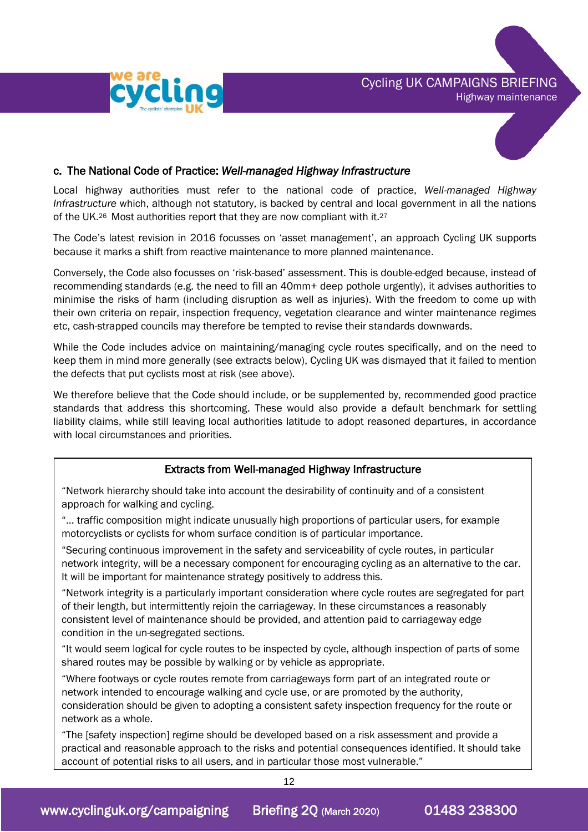



#### c. The National Code of Practice: *Well-managed Highway Infrastructure*

Local highway authorities must refer to the national code of practice, *Well-managed Highway Infrastructure* which, although not statutory, is backed by central and local government in all the nations of the UK.<sup>26</sup> Most authorities report that they are now compliant with it.<sup>27</sup>

The Code's latest revision in 2016 focusses on 'asset management', an approach Cycling UK supports because it marks a shift from reactive maintenance to more planned maintenance.

Conversely, the Code also focusses on 'risk-based' assessment. This is double-edged because, instead of recommending standards (e.g. the need to fill an 40mm+ deep pothole urgently), it advises authorities to minimise the risks of harm (including disruption as well as injuries). With the freedom to come up with their own criteria on repair, inspection frequency, vegetation clearance and winter maintenance regimes etc, cash-strapped councils may therefore be tempted to revise their standards downwards.

While the Code includes advice on maintaining/managing cycle routes specifically, and on the need to keep them in mind more generally (see extracts below), Cycling UK was dismayed that it failed to mention the defects that put cyclists most at risk (see above).

We therefore believe that the Code should include, or be supplemented by, recommended good practice standards that address this shortcoming. These would also provide a default benchmark for settling liability claims, while still leaving local authorities latitude to adopt reasoned departures, in accordance with local circumstances and priorities.

#### Extracts from Well-managed Highway Infrastructure

"Network hierarchy should take into account the desirability of continuity and of a consistent approach for walking and cycling.

"… traffic composition might indicate unusually high proportions of particular users, for example motorcyclists or cyclists for whom surface condition is of particular importance.

"Securing continuous improvement in the safety and serviceability of cycle routes, in particular network integrity, will be a necessary component for encouraging cycling as an alternative to the car. It will be important for maintenance strategy positively to address this.

"Network integrity is a particularly important consideration where cycle routes are segregated for part of their length, but intermittently rejoin the carriageway. In these circumstances a reasonably consistent level of maintenance should be provided, and attention paid to carriageway edge condition in the un-segregated sections.

"It would seem logical for cycle routes to be inspected by cycle, although inspection of parts of some shared routes may be possible by walking or by vehicle as appropriate.

"Where footways or cycle routes remote from carriageways form part of an integrated route or network intended to encourage walking and cycle use, or are promoted by the authority, consideration should be given to adopting a consistent safety inspection frequency for the route or network as a whole.

"The [safety inspection] regime should be developed based on a risk assessment and provide a practical and reasonable approach to the risks and potential consequences identified. It should take account of potential risks to all users, and in particular those most vulnerable."

12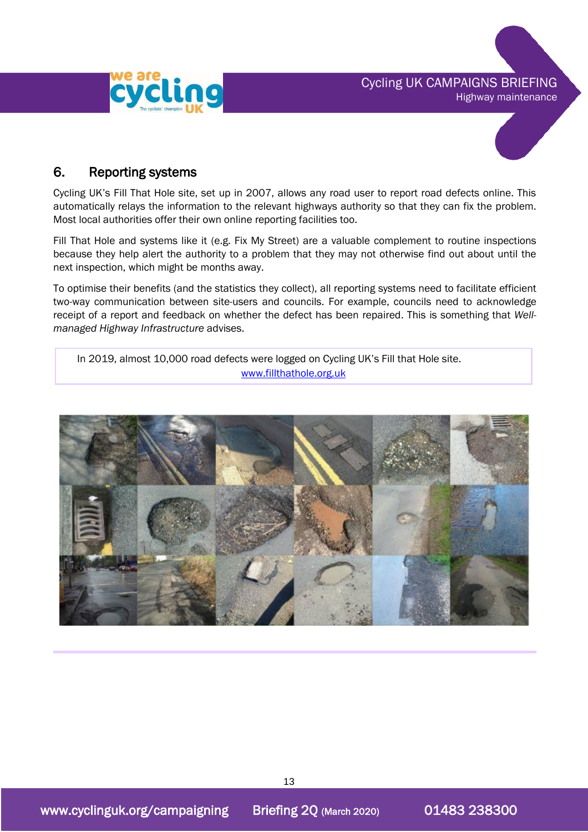



# 6. Reporting systems

Cycling UK's Fill That Hole site, set up in 2007, allows any road user to report road defects online. This automatically relays the information to the relevant highways authority so that they can fix the problem. Most local authorities offer their own online reporting facilities too.

Fill That Hole and systems like it (e.g. Fix My Street) are a valuable complement to routine inspections because they help alert the authority to a problem that they may not otherwise find out about until the next inspection, which might be months away.

To optimise their benefits (and the statistics they collect), all reporting systems need to facilitate efficient two-way communication between site-users and councils. For example, councils need to acknowledge receipt of a report and feedback on whether the defect has been repaired. This is something that *Wellmanaged Highway Infrastructure* advises.

In 2019, almost 10,000 road defects were logged on Cycling UK's Fill that Hole site. [www.fillthathole.org.uk](http://www.fillthathole.org.uk/)

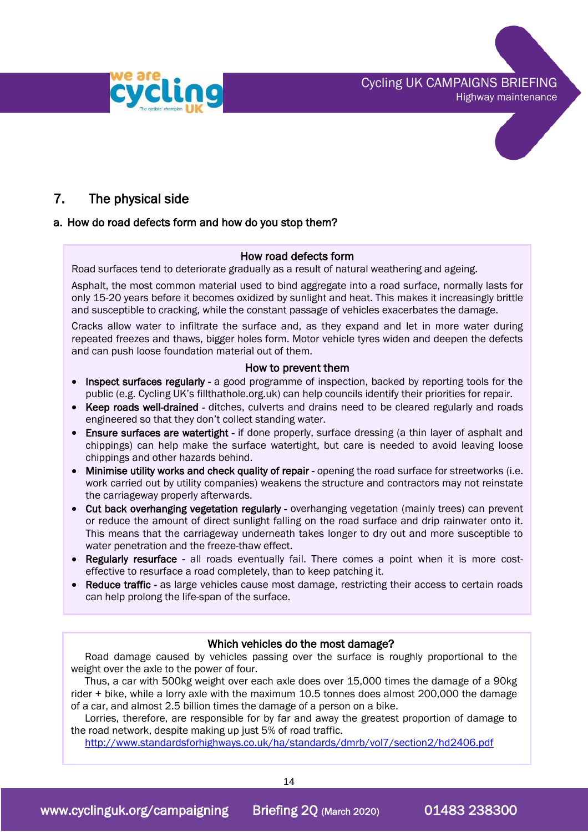Cycling UK CAMPAIGNS BRIEFING Highway maintenance





# 7. The physical side

#### a. How do road defects form and how do you stop them?

#### How road defects form

Road surfaces tend to deteriorate gradually as a result of natural weathering and ageing.

Asphalt, the most common material used to bind aggregate into a road surface, normally lasts for only 15-20 years before it becomes oxidized by sunlight and heat. This makes it increasingly brittle and susceptible to cracking, while the constant passage of vehicles exacerbates the damage.

Cracks allow water to infiltrate the surface and, as they expand and let in more water during repeated freezes and thaws, bigger holes form. Motor vehicle tyres widen and deepen the defects and can push loose foundation material out of them.

#### How to prevent them

- Inspect surfaces regularly a good programme of inspection, backed by reporting tools for the public (e.g. Cycling UK's fillthathole.org.uk) can help councils identify their priorities for repair.
- Keep roads well-drained ditches, culverts and drains need to be cleared regularly and roads engineered so that they don't collect standing water.
- Ensure surfaces are watertight if done properly, surface dressing (a thin layer of asphalt and chippings) can help make the surface watertight, but care is needed to avoid leaving loose chippings and other hazards behind.
- Minimise utility works and check quality of repair opening the road surface for streetworks (i.e. work carried out by utility companies) weakens the structure and contractors may not reinstate the carriageway properly afterwards.
- Cut back overhanging vegetation regularly overhanging vegetation (mainly trees) can prevent or reduce the amount of direct sunlight falling on the road surface and drip rainwater onto it. This means that the carriageway underneath takes longer to dry out and more susceptible to water penetration and the freeze-thaw effect.
- Regularly resurface all roads eventually fail. There comes a point when it is more costeffective to resurface a road completely, than to keep patching it.
- Reduce traffic as large vehicles cause most damage, restricting their access to certain roads can help prolong the life-span of the surface.

#### Which vehicles do the most damage?

Road damage caused by vehicles passing over the surface is roughly proportional to the weight over the axle to the power of four.

Thus, a car with 500kg weight over each axle does over 15,000 times the damage of a 90kg rider + bike, while a lorry axle with the maximum 10.5 tonnes does almost 200,000 the damage of a car, and almost 2.5 billion times the damage of a person on a bike.

Lorries, therefore, are responsible for by far and away the greatest proportion of damage to the road network, despite making up just 5% of road traffic.

<http://www.standardsforhighways.co.uk/ha/standards/dmrb/vol7/section2/hd2406.pdf>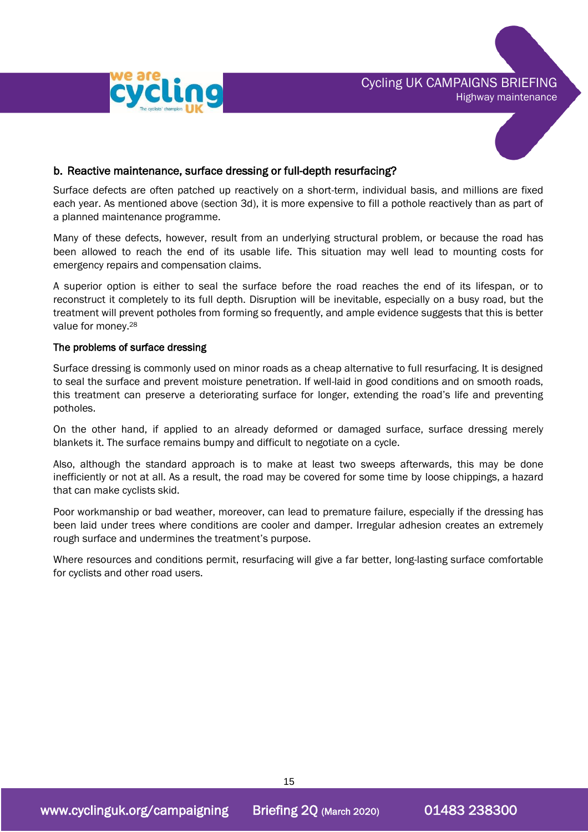





#### b. Reactive maintenance, surface dressing or full-depth resurfacing?

Surface defects are often patched up reactively on a short-term, individual basis, and millions are fixed each year. As mentioned above (section 3d), it is more expensive to fill a pothole reactively than as part of a planned maintenance programme.

Many of these defects, however, result from an underlying structural problem, or because the road has been allowed to reach the end of its usable life. This situation may well lead to mounting costs for emergency repairs and compensation claims.

A superior option is either to seal the surface before the road reaches the end of its lifespan, or to reconstruct it completely to its full depth. Disruption will be inevitable, especially on a busy road, but the treatment will prevent potholes from forming so frequently, and ample evidence suggests that this is better value for money.<sup>28</sup>

#### The problems of surface dressing

Surface dressing is commonly used on minor roads as a cheap alternative to full resurfacing. It is designed to seal the surface and prevent moisture penetration. If well-laid in good conditions and on smooth roads, this treatment can preserve a deteriorating surface for longer, extending the road's life and preventing potholes.

On the other hand, if applied to an already deformed or damaged surface, surface dressing merely blankets it. The surface remains bumpy and difficult to negotiate on a cycle.

Also, although the standard approach is to make at least two sweeps afterwards, this may be done inefficiently or not at all. As a result, the road may be covered for some time by loose chippings, a hazard that can make cyclists skid.

Poor workmanship or bad weather, moreover, can lead to premature failure, especially if the dressing has been laid under trees where conditions are cooler and damper. Irregular adhesion creates an extremely rough surface and undermines the treatment's purpose.

Where resources and conditions permit, resurfacing will give a far better, long-lasting surface comfortable for cyclists and other road users.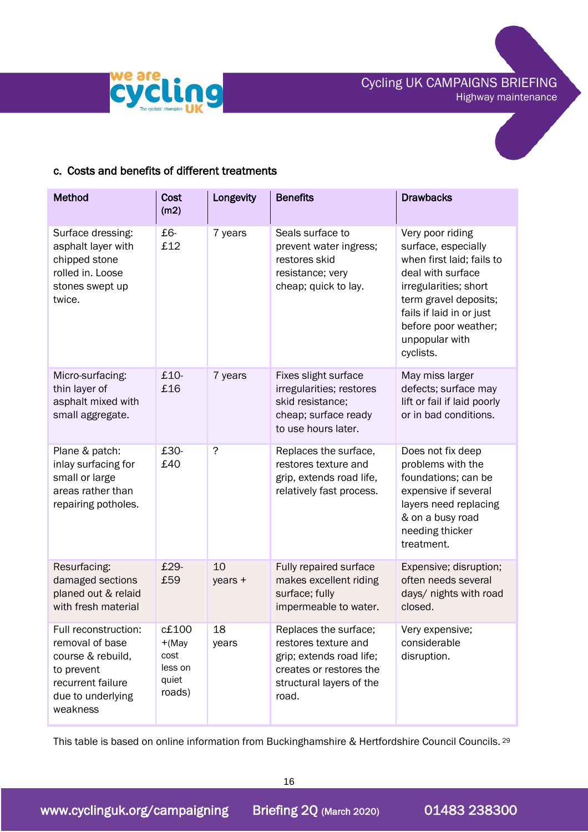



#### c. Costs and benefits of different treatments

| <b>Method</b>                                                                                                                    | <b>Cost</b><br>(m2)                                     | Longevity     | <b>Benefits</b>                                                                                                                           | <b>Drawbacks</b>                                                                                                                                                                                                               |
|----------------------------------------------------------------------------------------------------------------------------------|---------------------------------------------------------|---------------|-------------------------------------------------------------------------------------------------------------------------------------------|--------------------------------------------------------------------------------------------------------------------------------------------------------------------------------------------------------------------------------|
| Surface dressing:<br>asphalt layer with<br>chipped stone<br>rolled in. Loose<br>stones swept up<br>twice.                        | £6-<br>£12                                              | 7 years       | Seals surface to<br>prevent water ingress;<br>restores skid<br>resistance; very<br>cheap; quick to lay.                                   | Very poor riding<br>surface, especially<br>when first laid; fails to<br>deal with surface<br>irregularities; short<br>term gravel deposits;<br>fails if laid in or just<br>before poor weather;<br>unpopular with<br>cyclists. |
| Micro-surfacing:<br>thin layer of<br>asphalt mixed with<br>small aggregate.                                                      | £10-<br>£16                                             | 7 years       | Fixes slight surface<br>irregularities; restores<br>skid resistance:<br>cheap; surface ready<br>to use hours later.                       | May miss larger<br>defects; surface may<br>lift or fail if laid poorly<br>or in bad conditions.                                                                                                                                |
| Plane & patch:<br>inlay surfacing for<br>small or large<br>areas rather than<br>repairing potholes.                              | £30-<br>£40                                             | ?             | Replaces the surface,<br>restores texture and<br>grip, extends road life,<br>relatively fast process.                                     | Does not fix deep<br>problems with the<br>foundations; can be<br>expensive if several<br>layers need replacing<br>& on a busy road<br>needing thicker<br>treatment.                                                            |
| Resurfacing:<br>damaged sections<br>planed out & relaid<br>with fresh material                                                   | £29-<br>£59                                             | 10<br>years + | Fully repaired surface<br>makes excellent riding<br>surface; fully<br>impermeable to water.                                               | Expensive; disruption;<br>often needs several<br>days/ nights with road<br>closed.                                                                                                                                             |
| Full reconstruction:<br>removal of base<br>course & rebuild,<br>to prevent<br>recurrent failure<br>due to underlying<br>weakness | c£100<br>$+(May)$<br>cost<br>less on<br>quiet<br>roads) | 18<br>years   | Replaces the surface;<br>restores texture and<br>grip; extends road life;<br>creates or restores the<br>structural layers of the<br>road. | Very expensive;<br>considerable<br>disruption.                                                                                                                                                                                 |

This table is based on online information from Buckinghamshire & Hertfordshire Council Councils.<sup>29</sup>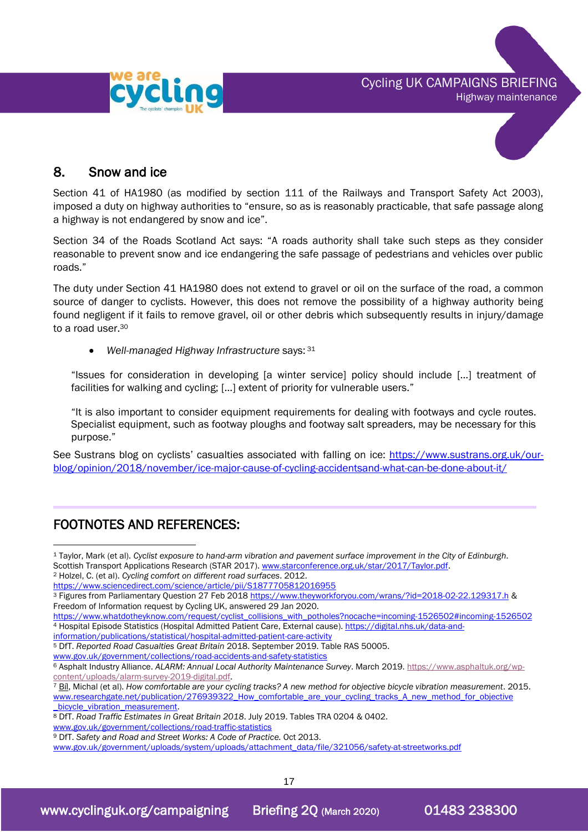



# 8. Snow and ice

Section 41 of HA1980 (as modified by section 111 of the Railways and Transport Safety Act 2003), imposed a duty on highway authorities to "ensure, so as is reasonably practicable, that safe passage along a highway is not endangered by snow and ice".

Section 34 of the Roads Scotland Act says: "A roads authority shall take such steps as they consider reasonable to prevent snow and ice endangering the safe passage of pedestrians and vehicles over public roads."

The duty under Section 41 HA1980 does not extend to gravel or oil on the surface of the road, a common source of danger to cyclists. However, this does not remove the possibility of a highway authority being found negligent if it fails to remove gravel, oil or other debris which subsequently results in injury/damage to a road user.<sup>30</sup>

• *Well-managed Highway Infrastructure* says: <sup>31</sup>

"Issues for consideration in developing [a winter service] policy should include […] treatment of facilities for walking and cycling; […] extent of priority for vulnerable users."

"It is also important to consider equipment requirements for dealing with footways and cycle routes. Specialist equipment, such as footway ploughs and footway salt spreaders, may be necessary for this purpose."

See Sustrans blog on cyclists' casualties associated with falling on ice: [https://www.sustrans.org.uk/our](https://www.sustrans.org.uk/our-blog/opinion/2018/november/ice-major-cause-of-cycling-accidentsand-what-can-be-done-about-it/)[blog/opinion/2018/november/ice-major-cause-of-cycling-accidentsand-what-can-be-done-about-it/](https://www.sustrans.org.uk/our-blog/opinion/2018/november/ice-major-cause-of-cycling-accidentsand-what-can-be-done-about-it/)

# FOOTNOTES AND REFERENCES:

- [information/publications/statistical/hospital-admitted-patient-care-activity](https://digital.nhs.uk/data-and-information/publications/statistical/hospital-admitted-patient-care-activity)
- <sup>5</sup> DfT. *Reported Road Casualties Great Britain* 2018. September 2019. Table RAS 50005.
- [www.gov.uk/government/collections/road-accidents-and-safety-statistics](http://www.gov.uk/government/collections/road-accidents-and-safety-statistics)

<sup>8</sup> DfT. *Road Traffic Estimates in Great Britain 2018*. July 2019. Tables TRA 0204 & 0402.

<sup>9</sup> DfT. *Safety and Road and Street Works: A Code of Practice.* Oct 2013.

[www.gov.uk/government/uploads/system/uploads/attachment\\_data/file/321056/safety-at-streetworks.pdf](http://www.gov.uk/government/uploads/system/uploads/attachment_data/file/321056/safety-at-streetworks.pdf)

<sup>1</sup> Taylor, Mark (et al). *Cyclist exposure to hand-arm vibration and pavement surface improvement in the City of Edinburgh*. Scottish Transport Applications Research (STAR 2017). www.starconference.org.uk/star/2017/Taylor.pdf.

<sup>2</sup> Holzel, C. (et al). *Cycling comfort on different road surfaces*. 2012.

https://www.sciencedirect.com/science/article/pii/S1877705812016955

<sup>3</sup> Figures from Parliamentary Question 27 Feb 2018<https://www.theyworkforyou.com/wrans/?id=2018-02-22.129317.h> & Freedom of Information request by Cycling UK, answered 29 Jan 2020.

[https://www.whatdotheyknow.com/request/cyclist\\_collisions\\_with\\_potholes?nocache=incoming-1526502#incoming-1526502](https://www.whatdotheyknow.com/request/cyclist_collisions_with_potholes?nocache=incoming-1526502#incoming-1526502) <sup>4</sup> Hospital Episode Statistics (Hospital Admitted Patient Care, External cause)[. https://digital.nhs.uk/data-and-](https://digital.nhs.uk/data-and-information/publications/statistical/hospital-admitted-patient-care-activity)

<sup>6</sup> Asphalt Industry Alliance. *ALARM: Annual Local Authority Maintenance Survey*. March 2019[. https://www.asphaltuk.org/wp](https://www.asphaltuk.org/wp-content/uploads/alarm-survey-2019-digital.pdf)[content/uploads/alarm-survey-2019-digital.pdf.](https://www.asphaltuk.org/wp-content/uploads/alarm-survey-2019-digital.pdf)

<sup>7</sup> Bíl, Michal (et al). *How comfortable are your cycling tracks? A new method for objective bicycle vibration measurement*. 2015. www.researchgate.net/publication/276939322\_How\_comfortable\_are\_your\_cycling\_tracks\_A\_new\_method\_for\_objective [\\_bicycle\\_vibration\\_measurement.](http://www.researchgate.net/publication/276939322_How_comfortable_are_your_cycling_tracks_A_new_method_for_objective%20_bicycle_vibration_measurement)

[www.gov.uk/government/collections/road-traffic-statistics](http://www.gov.uk/government/collections/road-traffic-statistics)